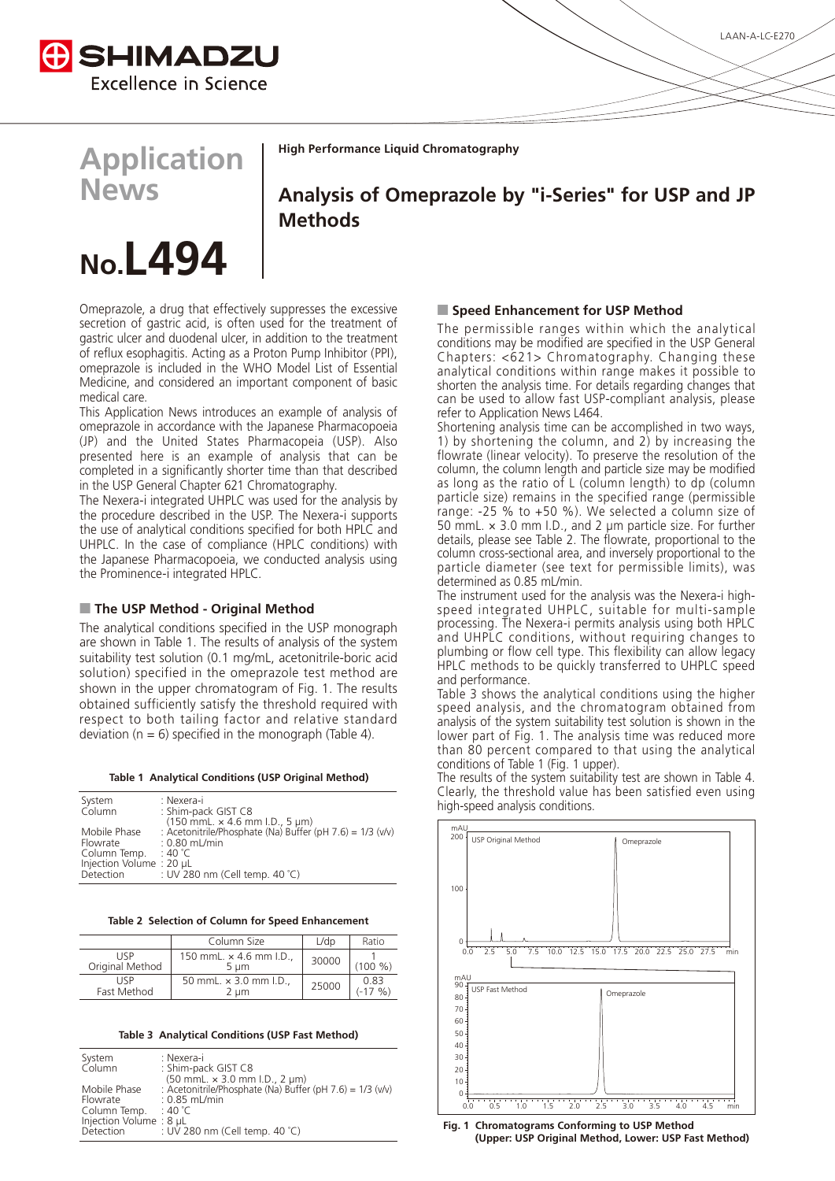

**High Performance Liquid Chromatography** 

**Application News**

Analysis of Omeprazole by "i-Series" for USP and JP **Methods**

# **No.L494**

Omeprazole, a drug that effectively suppresses the excessive secretion of gastric acid, is often used for the treatment of gastric ulcer and duodenal ulcer, in addition to the treatment of reflux esophagitis. Acting as a Proton Pump Inhibitor (PPI), omeprazole is included in the WHO Model List of Essential Medicine, and considered an important component of basic medical care

This Application News introduces an example of analysis of omeprazole in accordance with the Japanese Pharmacopoeia (JP) and the United States Pharmacopeia (USP). Also presented here is an example of analysis that can be completed in a significantly shorter time than that described in the USP General Chapter 621 Chromatography.

The Nexera-i integrated UHPLC was used for the analysis by the procedure described in the USP. The Nexera-i supports the use of analytical conditions specified for both HPLC and UHPLC. In the case of compliance (HPLC conditions) with the Japanese Pharmacopoeia, we conducted analysis using the Prominence-i integrated HPLC.

## **Method - Original Method II**

The analytical conditions specified in the USP monograph are shown in Table 1. The results of analysis of the system suitability test solution (0.1 mg/mL, acetonitrile-boric acid solution) specified in the omeprazole test method are shown in the upper chromatogram of Fig. 1. The results obtained sufficiently satisfy the threshold required with respect to both tailing factor and relative standard deviation ( $n = 6$ ) specified in the monograph (Table 4).

|  | Table 1 Analytical Conditions (USP Original Method) |  |  |
|--|-----------------------------------------------------|--|--|
|  |                                                     |  |  |

| System                  | : Nexera-i                                                     |
|-------------------------|----------------------------------------------------------------|
| Column                  | : Shim-pack GIST C8                                            |
|                         | $(150$ mmL. $\times$ 4.6 mm I.D., 5 µm)                        |
| Mobile Phase            | : Acetonitrile/Phosphate (Na) Buffer (pH $7.6$ ) = $1/3$ (v/v) |
| Flowrate                | $: 0.80$ mL/min                                                |
| Column Temp.            | ∶ 40 °C                                                        |
| Injection Volume: 20 µL |                                                                |
| Detection               | : UV 280 nm (Cell temp. 40 °C)                                 |

Table 2 Selection of Column for Speed Enhancement

|                         | Column Size                          | L/dp  | Ratio                    |
|-------------------------|--------------------------------------|-------|--------------------------|
| LISP<br>Original Method | 150 mmL, $\times$ 4.6 mm I.D<br>5 um | 30000 | (100 %)                  |
| LISP<br>Fast Method     | 50 mmL. x 3.0 mm I.D.,<br>2 um       | 25000 | 0.83<br>$\frac{1}{2}$ %) |

**Table 3 Analytical Conditions (USP Fast Method)** 

| System<br>Column       | : Nexera-i<br>: Shim-pack GIST C8                              |
|------------------------|----------------------------------------------------------------|
|                        | $(50$ mmL. $\times$ 3.0 mm l.D., 2 $\mu$ m)                    |
| Mobile Phase           | : Acetonitrile/Phosphate (Na) Buffer (pH $7.6$ ) = $1/3$ (v/v) |
| Flowrate               | $: 0.85$ mL/min                                                |
| Column Temp. $: 40 °C$ |                                                                |
| Injection Volume: 8 µL |                                                                |
|                        | Detection : UV 280 nm (Cell temp. 40 °C)                       |
|                        |                                                                |

#### **Method Enhancement for USP Method**

The permissible ranges within which the analytical conditions may be modified are specified in the USP General Chapters: <621> Chromatography. Changing these analytical conditions within range makes it possible to shorten the analysis time. For details regarding changes that can be used to allow fast USP-compliant analysis, please refer to Application News L464.

Shortening analysis time can be accomplished in two ways, 1) by shortening the column, and 2) by increasing the flowrate (linear velocity). To preserve the resolution of the column, the column length and particle size may be modified as long as the ratio of L (column length) to dp (column particle size) remains in the specified range (permissible range: -25 % to +50 %). We selected a column size of 50 mmL.  $\times$  3.0 mm I.D., and 2 µm particle size. For further details, please see Table 2. The flowrate, proportional to the column cross-sectional area, and inversely proportional to the particle diameter (see text for permissible limits), was determined as  $0.85$  mL/min.

speed integrated UHPLC, suitable for multi-sample The instrument used for the analysis was the Nexera-i highprocessing. The Nexera-i permits analysis using both HPLC and UHPLC conditions, without requiring changes to plumbing or flow cell type. This flexibility can allow legacy HPLC methods to be quickly transferred to UHPLC speed and performance.

Table 3 shows the analytical conditions using the higher speed analysis, and the chromatogram obtained from analysis of the system suitability test solution is shown in the lower part of Fig. 1. The analysis time was reduced more than 80 percent compared to that using the analytical conditions of Table 1 (Fig. 1 upper).

The results of the system suitability test are shown in Table 4. Clearly, the threshold value has been satisfied even using high-speed analysis conditions.



**Fig. 1 Chromatograms Conforming to USP Method** (Upper: USP Original Method, Lower: USP Fast Method)